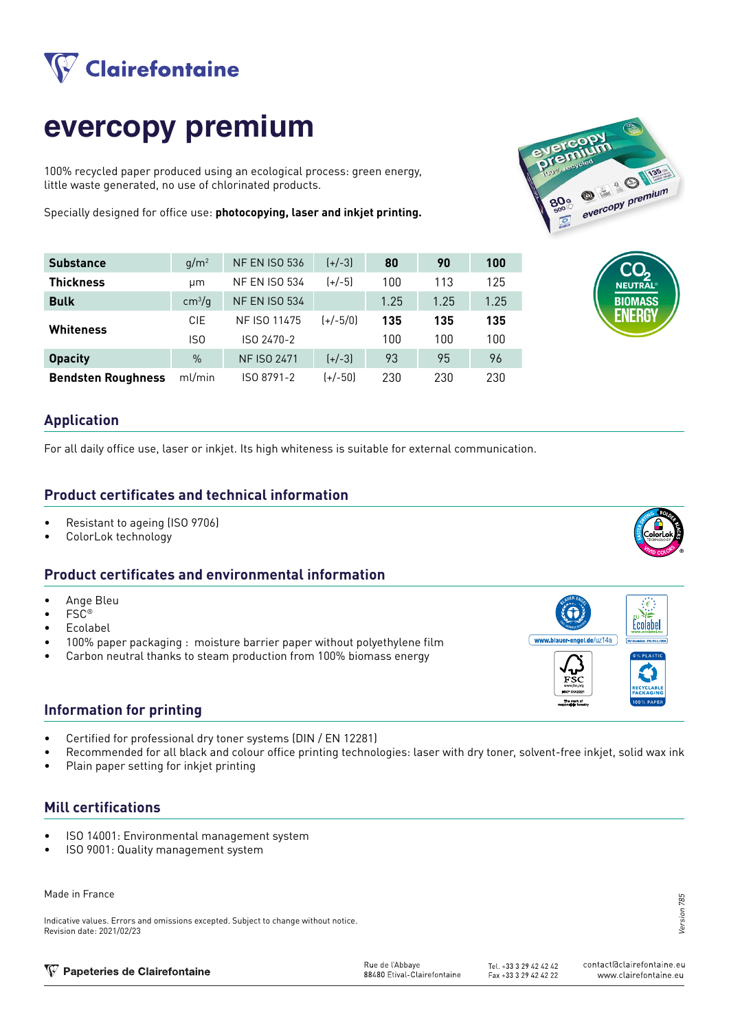

# **evercopy premium**

100% recycled paper produced using an ecological process: green energy, little waste generated, no use of chlorinated products.

Specially designed for office use: **photocopying, laser and inkjet printing.**



| <b>Substance</b>          | $q/m^2$            | <b>NF EN ISO 536</b> | $(+/-3)$   | 80   | 90   | 100  |
|---------------------------|--------------------|----------------------|------------|------|------|------|
| <b>Thickness</b>          | um                 | <b>NF EN ISO 534</b> | $(+/-5)$   | 100  | 113  | 125  |
| <b>Bulk</b>               | cm <sup>3</sup> /g | <b>NF EN ISO 534</b> |            | 1.25 | 1.25 | 1.25 |
| Whiteness                 | <b>CIE</b>         | NF ISO 11475         | $(+/-5/0)$ | 135  | 135  | 135  |
|                           | ISO                | ISO 2470-2           |            | 100  | 100  | 100  |
| <b>Opacity</b>            | $\%$               | <b>NF ISO 2471</b>   | $[+/3]$    | 93   | 95   | 96   |
| <b>Bendsten Roughness</b> | ml/min             | ISO 8791-2           | $(+/-50)$  | 230  | 230  | 230  |



#### **Application**

For all daily office use, laser or inkjet. Its high whiteness is suitable for external communication.

#### **Product certificates and technical information**

- Resistant to ageing (ISO 9706)
- ColorLok technology

### **Product certificates and environmental information**

- Ange Bleu
- FSC®
- **Ecolabel**
- 100% paper packaging : moisture barrier paper without polyethylene film
- Carbon neutral thanks to steam production from 100% biomass energy

#### **Information for printing**

- Certified for professional dry toner systems (DIN / EN 12281)
- Recommended for all black and colour office printing technologies: laser with dry toner, solvent-free inkjet, solid wax ink
- Plain paper setting for inkjet printing

#### **Mill certifications**

- ISO 14001: Environmental management system
- ISO 9001: Quality management system

#### Made in France

Indicative values. Errors and omissions excepted. Subject to change without notice. Revision date: 2021/02/23

Version 785 785 Version

| V Papeteries de Clairefontaine | Rue de l'Abbave             | Tel. +33 3 29 42 42 42 | contact@clairefontaine.eu |
|--------------------------------|-----------------------------|------------------------|---------------------------|
|                                | 88480 Etival-Clairefontaine | Fax +33 3 29 42 42 22  | www.clairefontaine.eu     |
|                                |                             |                        |                           |



www.blauer-engel.de/uz14a